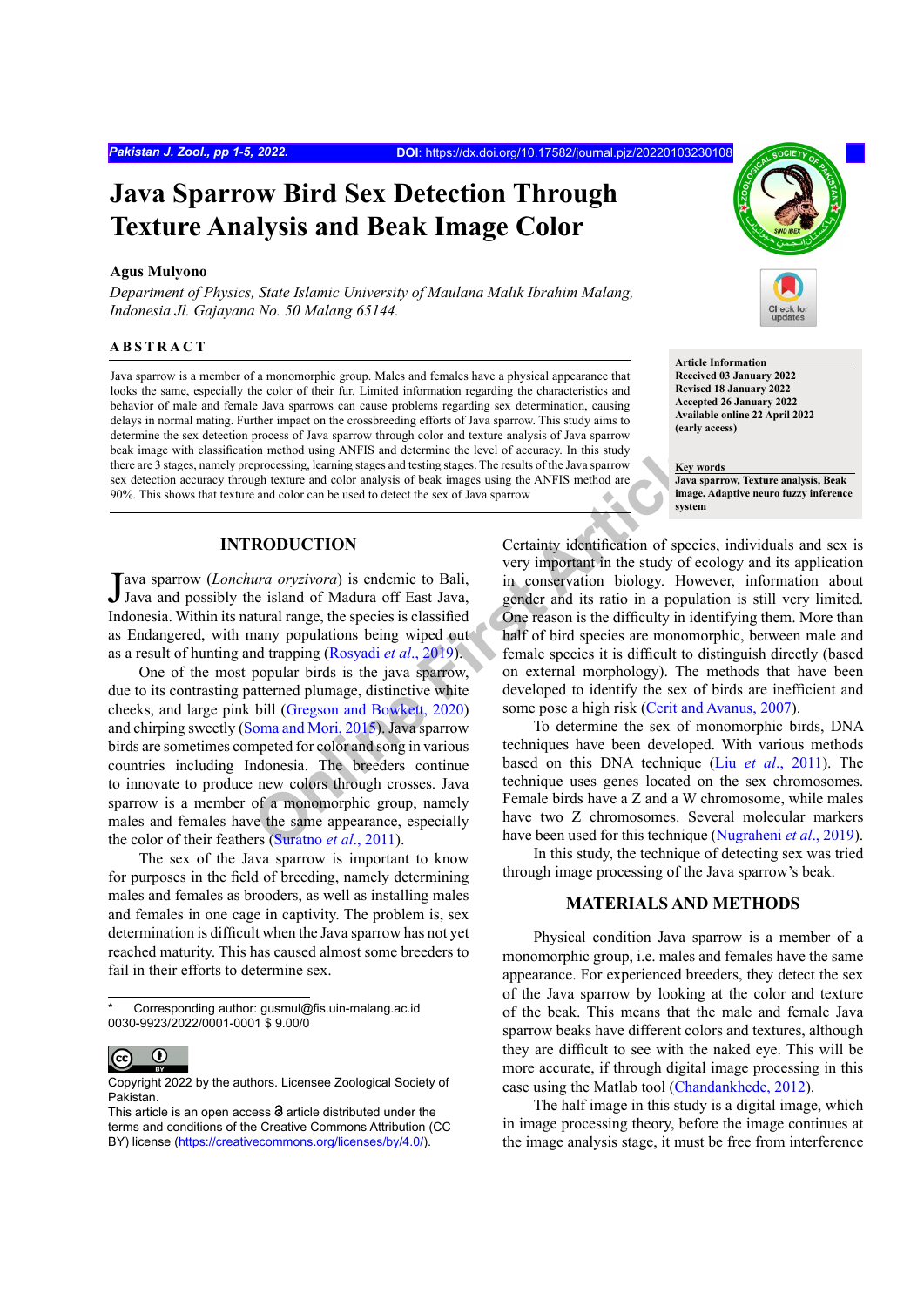# **Java Sparrow Bird Sex Detection Through Texture Analysis and Beak Image Color**

#### **Agus Mulyono**

*Department of Physics, State Islamic University of Maulana Malik Ibrahim Malang, Indonesia Jl. Gajayana No. 50 Malang 65144.*

#### **ABSTRACT**

Java sparrow is a member of a monomorphic group. Males and females have a physical appearance that looks the same, especially the color of their fur. Limited information regarding the characteristics and behavior of male and female Java sparrows can cause problems regarding sex determination, causing delays in normal mating. Further impact on the crossbreeding efforts of Java sparrow. This study aims to determine the sex detection process of Java sparrow through color and texture analysis of Java sparrow beak image with classification method using ANFIS and determine the level of accuracy. In this study there are 3 stages, namely preprocessing, learning stages and testing stages. The results of the Java sparrow sex detection accuracy through texture and color analysis of beak images using the ANFIS method are 90%. This shows that texture and color can be used to detect the sex of Java sparrow



**Article Information Received 03 January 2022 Revised 18 January 2022 Accepted 26 January 2022 Available online 22 April 2022 (early access)**

**Key words Java sparrow, Texture analysis, Beak image, Adaptive neuro fuzzy inference system**

# **INTRODUCTION**

Java sparrow (*Lonchura oryzivora*) is endemic to Bali, Java and possibly the island of Madura off East Java, Java and possibly the island of Madura off East Java, Indonesia. Within its natural range, the species is classified as Endangered, with many populations being wiped out as a result of hunting and trapping (Rosyadi *et al*., 2019).

**EXECTS** and the statemally and statemally and the statemally and the statemally and the statemally state and color analysis of beak images us[in](#page-4-2)g th[e](#page-4-1) ANFIS method are and color can be used to detect the sex of Java sparrow One of the most popular birds is the java sparrow, due to its contrasting patterned plumage, distinctive white cheeks, and large pink bill (Gregson and Bowkett, 2020) and chirping sweetly (Soma and Mori, 2015). Java sparrow birds are sometimes competed for color and song in various countries including Indonesia. The breeders continue to innovate to produce new colors through crosses. Java sparrow is a member of a monomorphic group, namely males and females have the same appearance, especially the color of their feathers (Suratno *et al*., 2011).

The sex of the Java sparrow is important to know for purposes in the field of breeding, namely determining males and females as brooders, as well as installing males and females in one cage in captivity. The problem is, sex determination is difficult when the Java sparrow has not yet reached maturity. This has caused almost some breeders to fail in their efforts to determine sex.

Corresponding author: gusmul@fis.uin-malang.ac.id 0030-9923/2022/0001-0001 \$ 9.00/0



Copyright 2022 by the authors. Licensee Zoological Society of Pakistan.

Certainty identification of species, individuals and sex is very important in the study of ecology and its application in conservation biology. However, information about gender and its ratio in a population is still very limited. One reason is the difficulty in identifying them. More than half of bird species are monomorphic, between male and female species it is difficult to distinguish directly (based on external morphology). The methods that have been developed to identify the sex of birds are inefficient and some pose a high risk ([Cerit and Avanus, 2007](#page-4-4)).

To determine the sex of monomorphic birds, DNA techniques have been developed. With various methods based on this DNA technique (Liu *et al*[., 2011](#page-4-5)). The technique uses genes located on the sex chromosomes. Female birds have a Z and a W chromosome, while males have two Z chromosomes. Several molecular markers have been used for this technique ([Nugraheni](#page-4-6) *et al*., 2019).

In this study, the technique of detecting sex was tried through image processing of the Java sparrow's beak.

## **MATERIALS AND METHODS**

Physical condition Java sparrow is a member of a monomorphic group, i.e. males and females have the same appearance. For experienced breeders, they detect the sex of the Java sparrow by looking at the color and texture of the beak. This means that the male and female Java sparrow beaks have different colors and textures, although they are difficult to see with the naked eye. This will be more accurate, if through digital image processing in this case using the Matlab tool ([Chandankhede, 2012](#page-4-7)).

The half image in this study is a digital image, which in image processing theory, before the image continues at the image analysis stage, it must be free from interference

This article is an open access  $\Theta$  article distributed under the terms and conditions of the Creative Commons Attribution (CC BY) license (https://creativecommons.org/licenses/by/4.0/).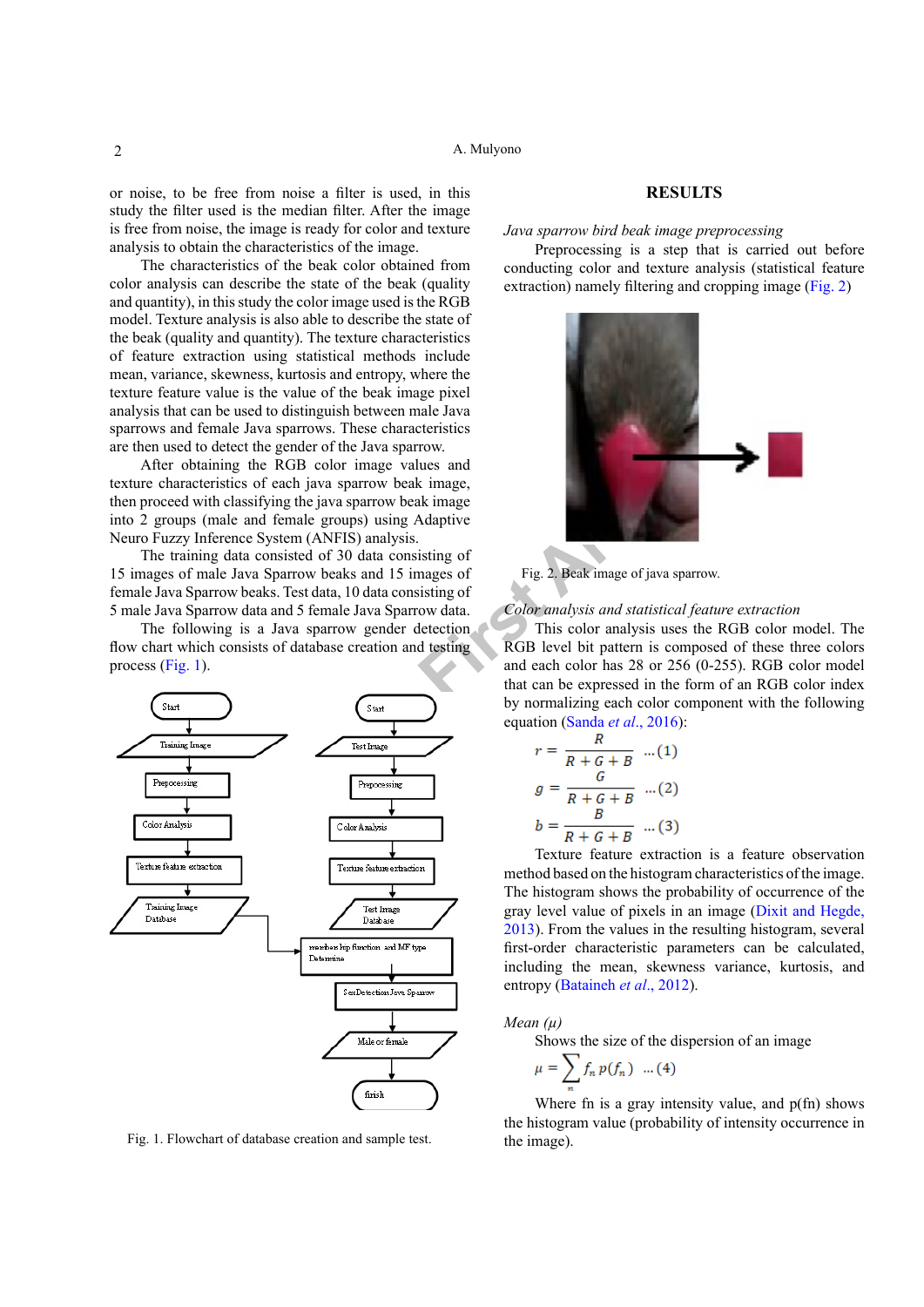or noise, to be free from noise a filter is used, in this study the filter used is the median filter. After the image is free from noise, the image is ready for color and texture analysis to obtain the characteristics of the image.

The characteristics of the beak color obtained from color analysis can describe the state of the beak (quality and quantity), in this study the color image used is the RGB model. Texture analysis is also able to describe the state of the beak (quality and quantity). The texture characteristics of feature extraction using statistical methods include mean, variance, skewness, kurtosis and entropy, where the texture feature value is the value of the beak image pixel analysis that can be used to distinguish between male Java sparrows and female Java sparrows. These characteristics are then used to detect the gender of the Java sparrow.

After obtaining the RGB color image values and texture characteristics of each java sparrow beak image, then proceed with classifying the java sparrow beak image into 2 groups (male and female groups) using Adaptive Neuro Fuzzy Inference System (ANFIS) analysis.

The training data consisted of 30 data consisting of 15 images of male Java Sparrow beaks and 15 images of female Java Sparrow beaks. Test data, 10 data consisting of 5 male Java Sparrow data and 5 female Java Sparrow data.

The following is a Java sparrow gender detection flow chart which consists of database creation and testing process ([Fig. 1\)](#page-1-0).



<span id="page-1-0"></span>Fig. 1. Flowchart of database creation and sample test.

## **RESULTS**

*Java sparrow bird beak image preprocessing*

Preprocessing is a step that is carried out before conducting color and texture analysis (statistical feature extraction) namely filtering and cropping image ([Fig. 2](#page-1-1))



<span id="page-1-1"></span>Fig. 2. Beak image of java sparrow.

#### *Color analysis and statistical feature extraction*

This color analysis uses the RGB color model. The RGB level bit pattern is composed of these three colors and each color has 28 or 256 (0-255). RGB color model that can be expressed in the form of an RGB color index by normalizing each color component with the following equation (Sanda *et al*., 2016):

$$
r = \frac{R}{R + G + B} \quad ...(1)
$$

$$
g = \frac{G}{R + G + B} \quad ...(2)
$$

$$
b = \frac{B}{R + G + B} \quad ...(3)
$$

Texture feature extraction is a feature observation method based on the histogram characteristics of the image. The histogram shows the probability of occurrence of the gray level value of pixels in an image [\(Dixit and Hegde,](#page-4-9) [2013\)](#page-4-9). From the values in the resulting histogram, several first-order characteristic parameters can be calculated, including the mean, skewness variance, kurtosis, and entropy [\(Bataineh](#page-4-10) *et al*., 2012).

#### *Mean (µ)*

Shows the size of the dispersion of an image

$$
\mu = \sum_{n=1}^{n} f_n p(f_n) \dots (4)
$$

Where fn is a gray intensity value, and  $p(fn)$  shows the histogram value (probability of intensity occurrence in the image).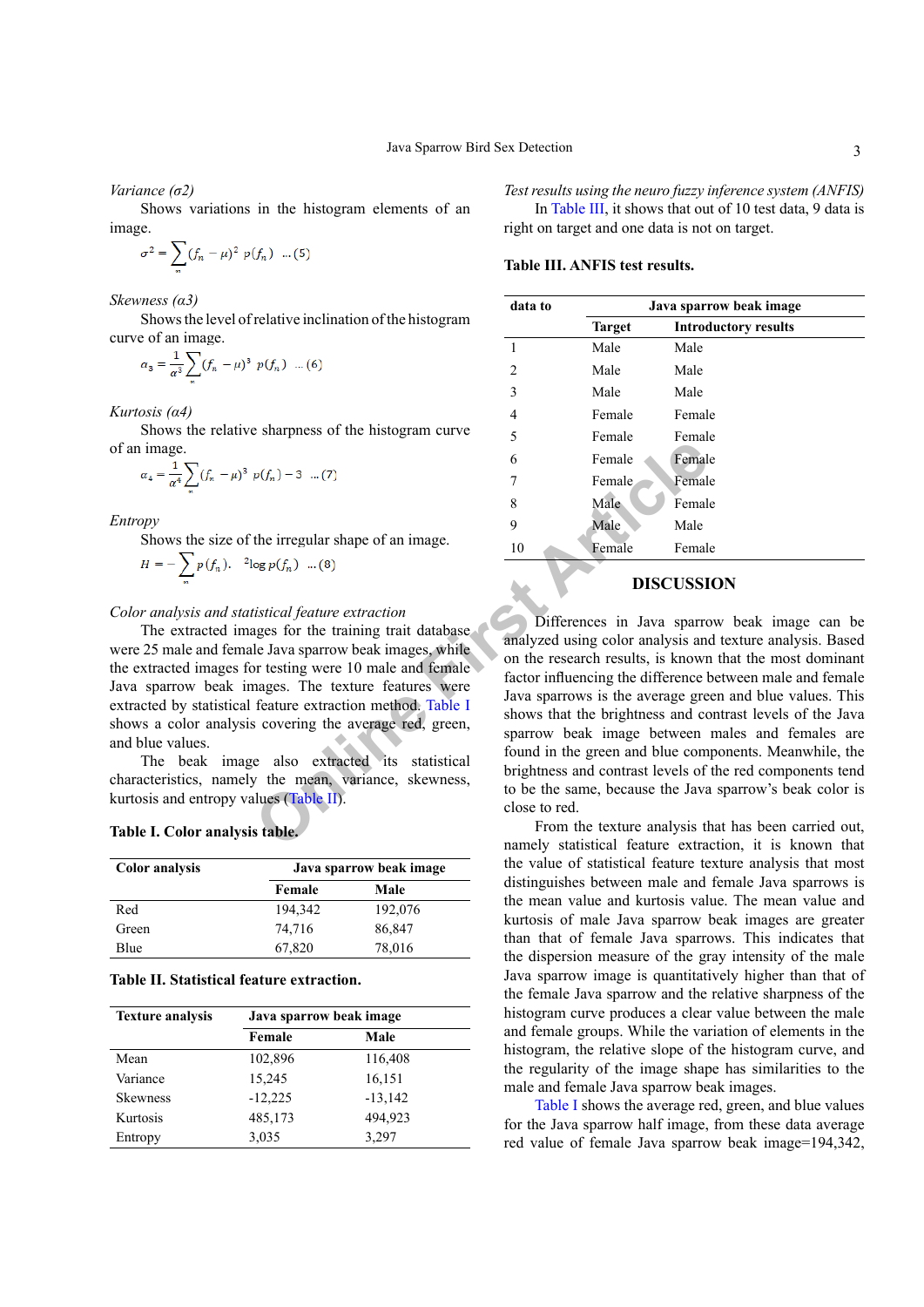*Variance (σ2)*

Shows variations in the histogram elements of an image.

$$
\sigma^2 = \sum_n (f_n - \mu)^2 p(f_n) \dots (5)
$$

*Skewness (α3)*

Shows the level of relative inclination of the histogram curve of an image.

$$
\alpha_3 = \frac{1}{\alpha^3} \sum_n (f_n - \mu)^3 \ p(f_n) \ \dots (6)
$$

*Kurtosis (α4)*

Shows the relative sharpness of the histogram curve of an image.

$$
\alpha_4 = \frac{1}{\alpha^4} \sum_n (f_n - \mu)^3 \ p(f_n) - 3 \dots (7)
$$

*Entropy*

Shows the size of the irregular shape of an image.  $\sqrt{ }$ 

$$
H = -\sum_{n} p(f_n). \quad \text{log } p(f_n) \quad \dots (8)
$$

#### *Color analysis and statistical feature extraction*

The extracted images for the training trait database were 25 male and female Java sparrow beak images, while the extracted images for testing were 10 male and female Java sparrow beak images. The texture features were extracted by statistical feature extraction method. Table I shows a color analysis covering the average red, green, and blue values.

The beak image also extracted its statistical characteristics, namely the mean, variance, skewness, kurtosis and entropy values (Table II).

<span id="page-2-0"></span>**Table I. Color analysis table.**

| <b>Color</b> analysis | Java sparrow beak image |         |  |
|-----------------------|-------------------------|---------|--|
|                       | Female                  | Male    |  |
| Red                   | 194.342                 | 192,076 |  |
| Green                 | 74,716                  | 86,847  |  |
| Blue                  | 67,820                  | 78,016  |  |

<span id="page-2-1"></span>**Table II. Statistical feature extraction.**

| <b>Texture analysis</b> | Java sparrow beak image |           |
|-------------------------|-------------------------|-----------|
|                         | Female                  | Male      |
| Mean                    | 102,896                 | 116,408   |
| Variance                | 15,245                  | 16,151    |
| <b>Skewness</b>         | $-12,225$               | $-13,142$ |
| Kurtosis                | 485,173                 | 494,923   |
| Entropy                 | 3,035                   | 3,297     |

*Test results using the neuro fuzzy inference system (ANFIS)* In [Table III](#page-2-2), it shows that out of 10 test data, 9 data is right on target and one data is not on target.

#### <span id="page-2-2"></span>**Table III. ANFIS test results.**

| data to | Java sparrow beak image |                             |  |
|---------|-------------------------|-----------------------------|--|
|         | <b>Target</b>           | <b>Introductory results</b> |  |
| 1       | Male                    | Male                        |  |
| 2       | Male                    | Male                        |  |
| 3       | Male                    | Male                        |  |
| 4       | Female                  | Female                      |  |
| 5       | Female                  | Female                      |  |
| 6       | Female                  | Female                      |  |
|         | Female                  | Female                      |  |
| 8       | Male                    | Female                      |  |
| 9       | Male                    | Male                        |  |
| 10      | Female                  | Female                      |  |

# **DISCUSSION**

 $p(f_n) - 3$  ...(7) 6<br>
Femal[e F](#page-2-0)emale Female<br>
the irregular shape of an image.<br>  $\log p(f_n)$  ...(8) 10<br>  $\log p(f_n)$  ...(8) 10<br>  $\log p(f_n)$  ...(8) 10<br>  $\log p(f_n)$  ...(8) 10<br>  $\log p(f_n)$  ...(8) 10<br>  $\log p(f_n)$  ...(8) 10<br>  $\log p(f_n)$  ...(8) 10<br>  $\log p(f$ Differences in Java sparrow beak image can be analyzed using color analysis and texture analysis. Based on the research results, is known that the most dominant factor influencing the difference between male and female Java sparrows is the average green and blue values. This shows that the brightness and contrast levels of the Java sparrow beak image between males and females are found in the green and blue components. Meanwhile, the brightness and contrast levels of the red components tend to be the same, because the Java sparrow's beak color is close to red.

From the texture analysis that has been carried out, namely statistical feature extraction, it is known that the value of statistical feature texture analysis that most distinguishes between male and female Java sparrows is the mean value and kurtosis value. The mean value and kurtosis of male Java sparrow beak images are greater than that of female Java sparrows. This indicates that the dispersion measure of the gray intensity of the male Java sparrow image is quantitatively higher than that of the female Java sparrow and the relative sharpness of the histogram curve produces a clear value between the male and female groups. While the variation of elements in the histogram, the relative slope of the histogram curve, and the regularity of the image shape has similarities to the male and female Java sparrow beak images.

[Table I](#page-2-0) shows the average red, green, and blue values for the Java sparrow half image, from these data average red value of female Java sparrow beak image=194,342,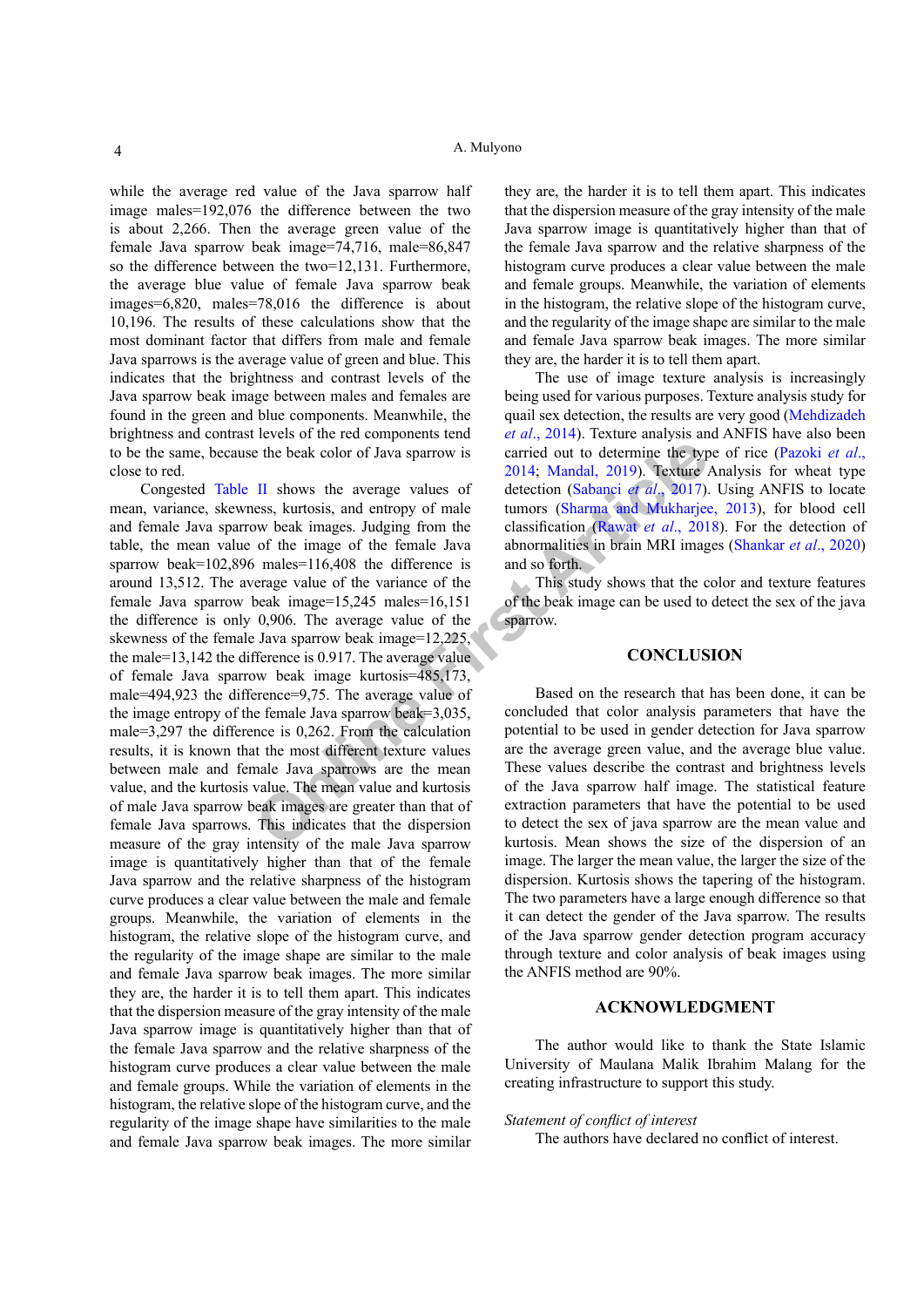while the average red value of the Java sparrow half image males=192,076 the difference between the two is about 2,266. Then the average green value of the female Java sparrow beak image=74,716, male=86,847 so the difference between the two=12,131. Furthermore, the average blue value of female Java sparrow beak images=6,820, males=78,016 the difference is about 10,196. The results of these calculations show that the most dominant factor that differs from male and female Java sparrows is the average value of green and blue. This indicates that the brightness and contrast levels of the Java sparrow beak image between males and females are found in the green and blue components. Meanwhile, the brightness and contrast levels of the red components tend to be the same, because the beak color of Java sparrow is close to red.

e the beak colo[r](#page-4-16) of Java sparrow is<br>
2014; Mandal, 2019). Texture *i*<br>
II shows the average values of<br>
detec[ti](#page-4-15)on (Sabanci *et al.*, 2017).<br>
Some set images. Judging from the classification (Rawat *et al.*, 2017).<br>
Some kim Congested [Table II](#page-2-1) shows the average values of mean, variance, skewness, kurtosis, and entropy of male and female Java sparrow beak images. Judging from the table, the mean value of the image of the female Java sparrow beak=102,896 males=116,408 the difference is around 13,512. The average value of the variance of the female Java sparrow beak image=15,245 males=16,151 the difference is only 0,906. The average value of the skewness of the female Java sparrow beak image=12,225, the male=13,142 the difference is 0.917. The average value of female Java sparrow beak image kurtosis=485,173, male=494,923 the difference=9,75. The average value of the image entropy of the female Java sparrow beak=3,035, male=3,297 the difference is 0,262. From the calculation results, it is known that the most different texture values between male and female Java sparrows are the mean value, and the kurtosis value. The mean value and kurtosis of male Java sparrow beak images are greater than that of female Java sparrows. This indicates that the dispersion measure of the gray intensity of the male Java sparrow image is quantitatively higher than that of the female Java sparrow and the relative sharpness of the histogram curve produces a clear value between the male and female groups. Meanwhile, the variation of elements in the histogram, the relative slope of the histogram curve, and the regularity of the image shape are similar to the male and female Java sparrow beak images. The more similar they are, the harder it is to tell them apart. This indicates that the dispersion measure of the gray intensity of the male Java sparrow image is quantitatively higher than that of the female Java sparrow and the relative sharpness of the histogram curve produces a clear value between the male and female groups. While the variation of elements in the histogram, the relative slope of the histogram curve, and the regularity of the image shape have similarities to the male and female Java sparrow beak images. The more similar

they are, the harder it is to tell them apart. This indicates that the dispersion measure of the gray intensity of the male Java sparrow image is quantitatively higher than that of the female Java sparrow and the relative sharpness of the histogram curve produces a clear value between the male and female groups. Meanwhile, the variation of elements in the histogram, the relative slope of the histogram curve, and the regularity of the image shape are similar to the male and female Java sparrow beak images. The more similar they are, the harder it is to tell them apart.

The use of image texture analysis is increasingly being used for various purposes. Texture analysis study for quail sex detection, the results are very good (Mehdizadeh *et al*[., 2014](#page-4-11)). Texture analysis and ANFIS have also been carried out to determine the type of rice ([Pazoki](#page-4-12) *et al*., 2014; Mandal, 2019). Texture Analysis for wheat type detection (Sabanci *et al*., 2017). Using ANFIS to locate tumors (Sharma and Mukharjee, 2013), for blood cell classification (Rawat *et al*., 2018). For the detection of abnormalities in brain MRI images [\(Shankar](#page-4-17) *et al*., 2020) and so forth.

This study shows that the color and texture features of the beak image can be used to detect the sex of the java sparrow.

# **CONCLUSION**

Based on the research that has been done, it can be concluded that color analysis parameters that have the potential to be used in gender detection for Java sparrow are the average green value, and the average blue value. These values describe the contrast and brightness levels of the Java sparrow half image. The statistical feature extraction parameters that have the potential to be used to detect the sex of java sparrow are the mean value and kurtosis. Mean shows the size of the dispersion of an image. The larger the mean value, the larger the size of the dispersion. Kurtosis shows the tapering of the histogram. The two parameters have a large enough difference so that it can detect the gender of the Java sparrow. The results of the Java sparrow gender detection program accuracy through texture and color analysis of beak images using the ANFIS method are 90%.

#### **ACKNOWLEDGMENT**

The author would like to thank the State Islamic University of Maulana Malik Ibrahim Malang for the creating infrastructure to support this study.

# *Statement of conflict of interest*

The authors have declared no conflict of interest.